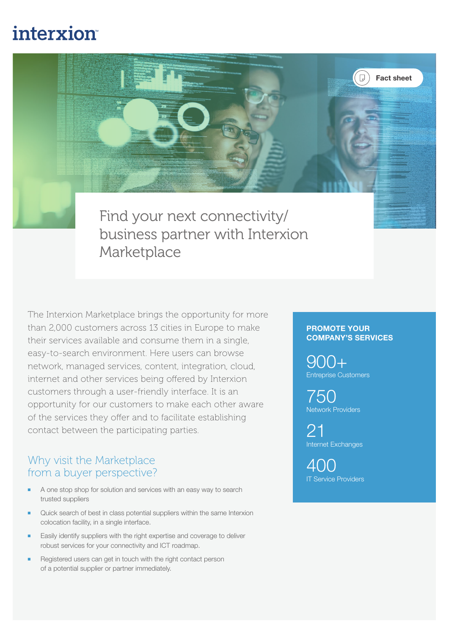# interxion

Find your next connectivity/ business partner with Interxion Marketplace

The Interxion Marketplace brings the opportunity for more than 2,000 customers across 13 cities in Europe to make their services available and consume them in a single, easy-to-search environment. Here users can browse network, managed services, content, integration, cloud, internet and other services being offered by Interxion customers through a user-friendly interface. It is an opportunity for our customers to make each other aware of the services they offer and to facilitate establishing contact between the participating parties.

## Why visit the Marketplace from a buyer perspective?

- A one stop shop for solution and services with an easy way to search trusted suppliers
- Quick search of best in class potential suppliers within the same Interxion colocation facility, in a single interface.
- Easily identify suppliers with the right expertise and coverage to deliver robust services for your connectivity and ICT roadmap.
- Registered users can get in touch with the right contact person of a potential supplier or partner immediately.

#### PROMOTE YOUR COMPANY'S SERVICES

Fact sheet

900+ Entreprise Customers

750 Network Providers

21 Internet Exchanges

400 IT Service Providers